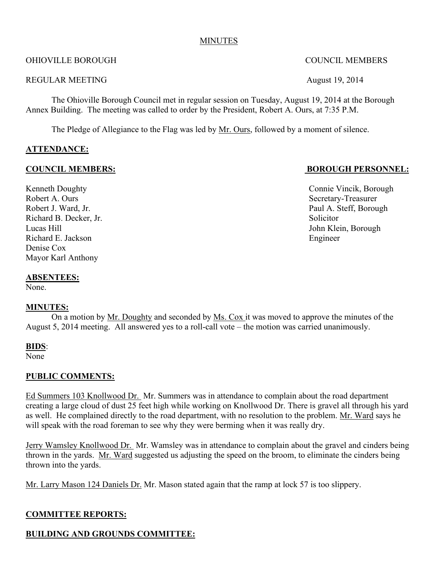#### MINUTES

### OHIOVILLE BOROUGH COUNCIL MEMBERS

#### REGULAR MEETING August 19, 2014

The Ohioville Borough Council met in regular session on Tuesday, August 19, 2014 at the Borough Annex Building. The meeting was called to order by the President, Robert A. Ours, at 7:35 P.M.

The Pledge of Allegiance to the Flag was led by Mr. Ours, followed by a moment of silence.

### **ATTENDANCE:**

### **COUNCIL MEMBERS: BOROUGH PERSONNEL:**

Robert A. Ours Secretary-Treasurer Richard B. Decker, Jr. Solicitor Lucas Hill John Klein, Borough Richard E. Jackson Engineer Denise Cox Mayor Karl Anthony

#### **ABSENTEES:**

None.

### **MINUTES:**

On a motion by Mr. Doughty and seconded by Ms. Cox it was moved to approve the minutes of the August 5, 2014 meeting. All answered yes to a roll-call vote – the motion was carried unanimously.

#### **BIDS**:

None

### **PUBLIC COMMENTS:**

Ed Summers 103 Knollwood Dr. Mr. Summers was in attendance to complain about the road department creating a large cloud of dust 25 feet high while working on Knollwood Dr. There is gravel all through his yard as well. He complained directly to the road department, with no resolution to the problem. Mr. Ward says he will speak with the road foreman to see why they were berming when it was really dry.

Jerry Wamsley Knollwood Dr. Mr. Wamsley was in attendance to complain about the gravel and cinders being thrown in the yards. Mr. Ward suggested us adjusting the speed on the broom, to eliminate the cinders being thrown into the yards.

Mr. Larry Mason 124 Daniels Dr. Mr. Mason stated again that the ramp at lock 57 is too slippery.

### **COMMITTEE REPORTS:**

# **BUILDING AND GROUNDS COMMITTEE:**

Kenneth Doughty Connie Vincik, Borough Robert J. Ward, Jr. **Paul A. Steff, Borough** 

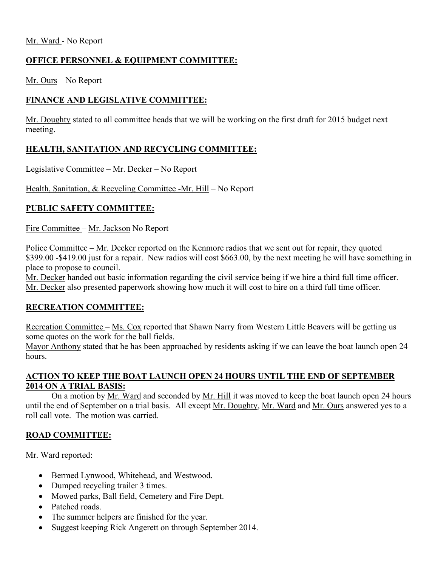## **OFFICE PERSONNEL & EQUIPMENT COMMITTEE:**

Mr. Ours – No Report

# **FINANCE AND LEGISLATIVE COMMITTEE:**

Mr. Doughty stated to all committee heads that we will be working on the first draft for 2015 budget next meeting.

# **HEALTH, SANITATION AND RECYCLING COMMITTEE:**

Legislative Committee – Mr. Decker – No Report

Health, Sanitation, & Recycling Committee -Mr. Hill – No Report

# **PUBLIC SAFETY COMMITTEE:**

Fire Committee – Mr. Jackson No Report

Police Committee – Mr. Decker reported on the Kenmore radios that we sent out for repair, they quoted \$399.00 -\$419.00 just for a repair. New radios will cost \$663.00, by the next meeting he will have something in place to propose to council.

Mr. Decker handed out basic information regarding the civil service being if we hire a third full time officer. Mr. Decker also presented paperwork showing how much it will cost to hire on a third full time officer.

### **RECREATION COMMITTEE:**

Recreation Committee – Ms. Cox reported that Shawn Narry from Western Little Beavers will be getting us some quotes on the work for the ball fields.

Mayor Anthony stated that he has been approached by residents asking if we can leave the boat launch open 24 hours.

### **ACTION TO KEEP THE BOAT LAUNCH OPEN 24 HOURS UNTIL THE END OF SEPTEMBER 2014 ON A TRIAL BASIS:**

On a motion by Mr. Ward and seconded by Mr. Hill it was moved to keep the boat launch open 24 hours until the end of September on a trial basis. All except Mr. Doughty, Mr. Ward and Mr. Ours answered yes to a roll call vote. The motion was carried.

# **ROAD COMMITTEE:**

Mr. Ward reported:

- Bermed Lynwood, Whitehead, and Westwood.
- Dumped recycling trailer 3 times.
- Mowed parks, Ball field, Cemetery and Fire Dept.
- Patched roads.
- The summer helpers are finished for the year.
- Suggest keeping Rick Angerett on through September 2014.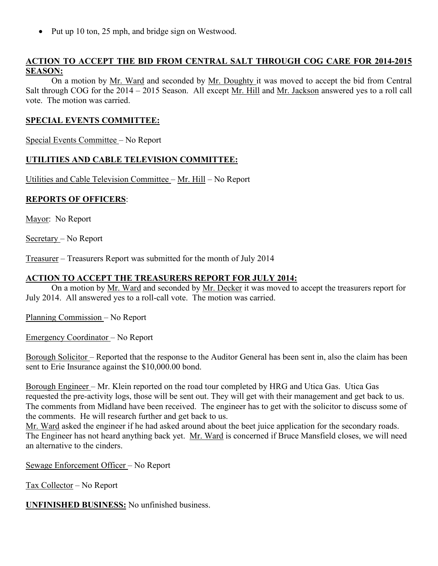• Put up 10 ton, 25 mph, and bridge sign on Westwood.

## **ACTION TO ACCEPT THE BID FROM CENTRAL SALT THROUGH COG CARE FOR 2014-2015 SEASON:**

On a motion by Mr. Ward and seconded by Mr. Doughty it was moved to accept the bid from Central Salt through COG for the 2014 – 2015 Season. All except Mr. Hill and Mr. Jackson answered yes to a roll call vote. The motion was carried.

### **SPECIAL EVENTS COMMITTEE:**

Special Events Committee – No Report

## **UTILITIES AND CABLE TELEVISION COMMITTEE:**

Utilities and Cable Television Committee – Mr. Hill – No Report

#### **REPORTS OF OFFICERS**:

Mayor: No Report

Secretary – No Report

Treasurer – Treasurers Report was submitted for the month of July 2014

#### **ACTION TO ACCEPT THE TREASURERS REPORT FOR JULY 2014:**

On a motion by Mr. Ward and seconded by Mr. Decker it was moved to accept the treasurers report for July 2014. All answered yes to a roll-call vote. The motion was carried.

Planning Commission – No Report

Emergency Coordinator – No Report

Borough Solicitor – Reported that the response to the Auditor General has been sent in, also the claim has been sent to Erie Insurance against the \$10,000.00 bond.

Borough Engineer – Mr. Klein reported on the road tour completed by HRG and Utica Gas. Utica Gas requested the pre-activity logs, those will be sent out. They will get with their management and get back to us. The comments from Midland have been received. The engineer has to get with the solicitor to discuss some of the comments. He will research further and get back to us.

Mr. Ward asked the engineer if he had asked around about the beet juice application for the secondary roads. The Engineer has not heard anything back yet. Mr. Ward is concerned if Bruce Mansfield closes, we will need an alternative to the cinders.

Sewage Enforcement Officer – No Report

Tax Collector – No Report

**UNFINISHED BUSINESS:** No unfinished business.